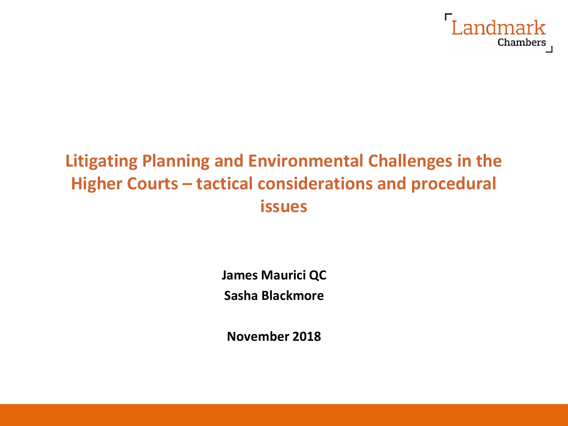

# **Litigating Planning and Environmental Challenges in the Higher Courts – tactical considerations and procedural issues**

**James Maurici QC**

**Sasha Blackmore**

**November 2018**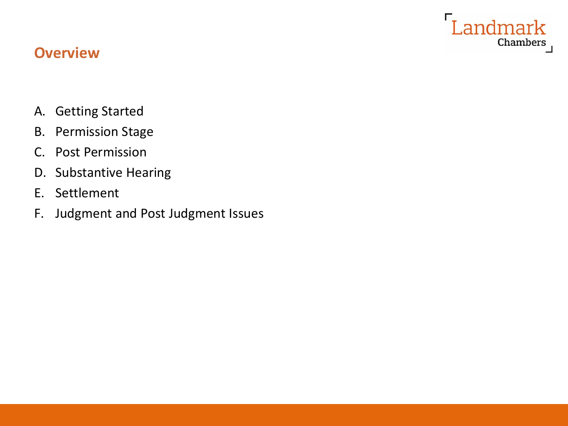

## **Overview**

- A. Getting Started
- B. Permission Stage
- C. Post Permission
- D. Substantive Hearing
- E. Settlement
- F. Judgment and Post Judgment Issues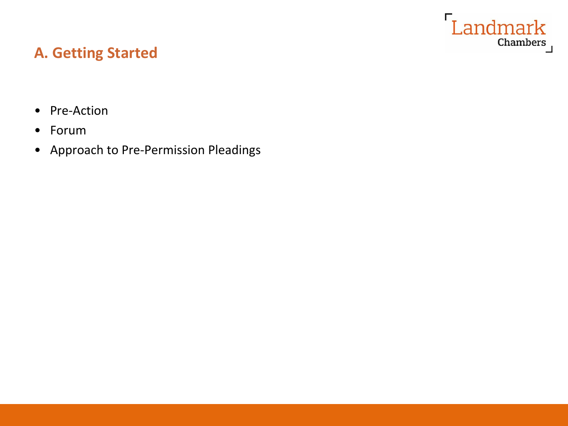

## **A. Getting Started**

- Pre-Action
- Forum
- Approach to Pre-Permission Pleadings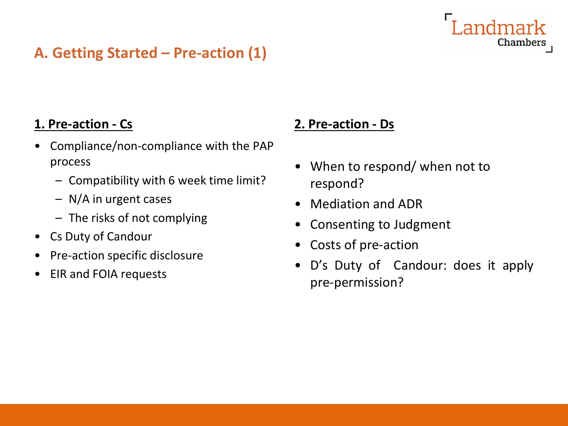## **A. Getting Started – Pre-action (1)**

#### **1. Pre-action - Cs**

- Compliance/non-compliance with the PAP process
	- Compatibility with 6 week time limit?
	- N/A in urgent cases
	- The risks of not complying
- Cs Duty of Candour
- Pre-action specific disclosure
- EIR and FOIA requests

#### **2. Pre-action - Ds**

- When to respond/ when not to respond?
- Mediation and ADR
- Consenting to Judgment
- Costs of pre-action
- D's Duty of Candour: does it apply pre-permission?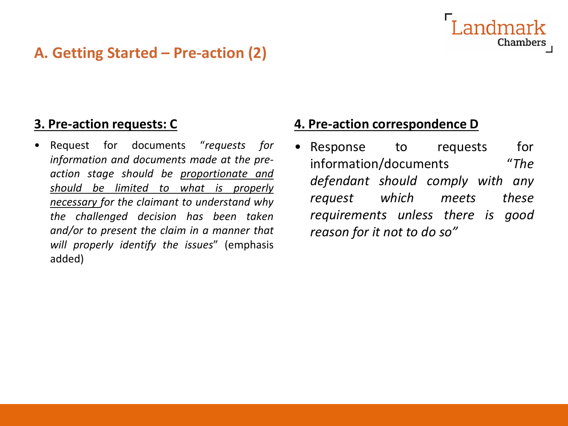## **A. Getting Started – Pre-action (2)**

#### **3. Pre-action requests: C**

• Request for documents "*requests for information and documents made at the preaction stage should be proportionate and should be limited to what is properly necessary for the claimant to understand why the challenged decision has been taken and/or to present the claim in a manner that will properly identify the issues*" (emphasis added)

#### **4. Pre-action correspondence D**

Response to requests for information/documents "*The defendant should comply with any request which meets these requirements unless there is good reason for it not to do so"*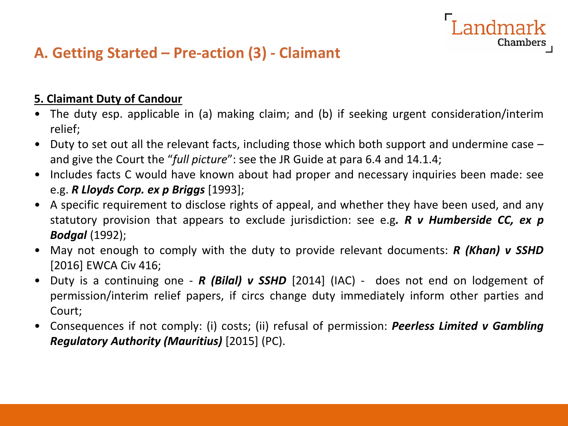## **A. Getting Started – Pre-action (3) - Claimant**

#### **5. Claimant Duty of Candour**

• The duty esp. applicable in (a) making claim; and (b) if seeking urgent consideration/interim relief;

andmark

- Duty to set out all the relevant facts, including those which both support and undermine case and give the Court the "*full picture*": see the JR Guide at para 6.4 and 14.1.4;
- Includes facts C would have known about had proper and necessary inquiries been made: see e.g. *R Lloyds Corp. ex p Briggs* [1993];
- A specific requirement to disclose rights of appeal, and whether they have been used, and any statutory provision that appears to exclude jurisdiction: see e.g*. R v Humberside CC, ex p Bodgal* (1992);
- May not enough to comply with the duty to provide relevant documents: *R (Khan) v SSHD* [2016] EWCA Civ 416;
- Duty is a continuing one *R (Bilal) v SSHD* [2014] (IAC) does not end on lodgement of permission/interim relief papers, if circs change duty immediately inform other parties and Court;
- Consequences if not comply: (i) costs; (ii) refusal of permission: *Peerless Limited v Gambling Regulatory Authority (Mauritius)* [2015] (PC).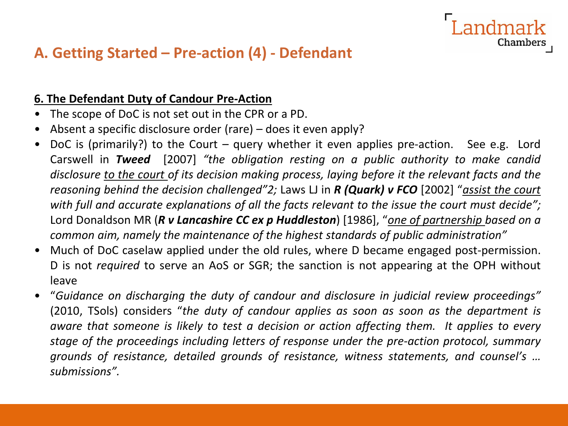## **A. Getting Started – Pre-action (4) - Defendant**

#### **6. The Defendant Duty of Candour Pre-Action**

- The scope of DoC is not set out in the CPR or a PD.
- Absent a specific disclosure order (rare) does it even apply?
- DoC is (primarily?) to the Court query whether it even applies pre-action. See e.g. Lord Carswell in *Tweed* [2007] *"the obligation resting on a public authority to make candid disclosure to the court of its decision making process, laying before it the relevant facts and the reasoning behind the decision challenged"2;* Laws LJ in *R (Quark) v FCO* [2002] "*assist the court with full and accurate explanations of all the facts relevant to the issue the court must decide";* Lord Donaldson MR (*R v Lancashire CC ex p Huddleston*) [1986], "*one of partnership based on a common aim, namely the maintenance of the highest standards of public administration"*

- Much of DoC caselaw applied under the old rules, where D became engaged post-permission. D is not *required* to serve an AoS or SGR; the sanction is not appearing at the OPH without leave
- "*Guidance on discharging the duty of candour and disclosure in judicial review proceedings"* (2010, TSols) considers "*the duty of candour applies as soon as soon as the department is aware that someone is likely to test a decision or action affecting them. It applies to every stage of the proceedings including letters of response under the pre-action protocol, summary grounds of resistance, detailed grounds of resistance, witness statements, and counsel's … submissions".*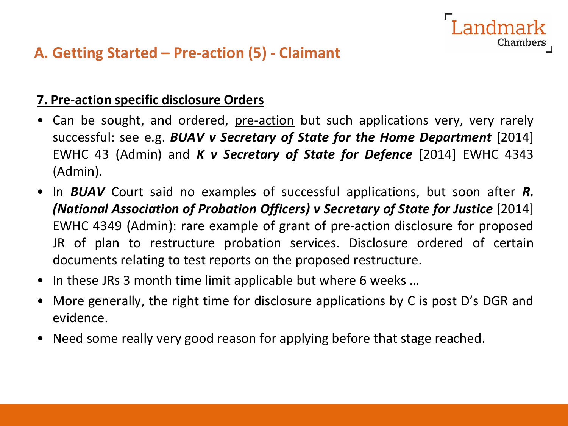## **A. Getting Started – Pre-action (5) - Claimant**

#### **7. Pre-action specific disclosure Orders**

• Can be sought, and ordered, pre-action but such applications very, very rarely successful: see e.g. *BUAV v Secretary of State for the Home Department* [2014] EWHC 43 (Admin) and *K v Secretary of State for Defence* [2014] EWHC 4343 (Admin).

- In *BUAV* Court said no examples of successful applications, but soon after *R. (National Association of Probation Officers) v Secretary of State for Justice* [2014] EWHC 4349 (Admin): rare example of grant of pre-action disclosure for proposed JR of plan to restructure probation services. Disclosure ordered of certain documents relating to test reports on the proposed restructure.
- In these JRs 3 month time limit applicable but where 6 weeks …
- More generally, the right time for disclosure applications by C is post D's DGR and evidence.
- Need some really very good reason for applying before that stage reached.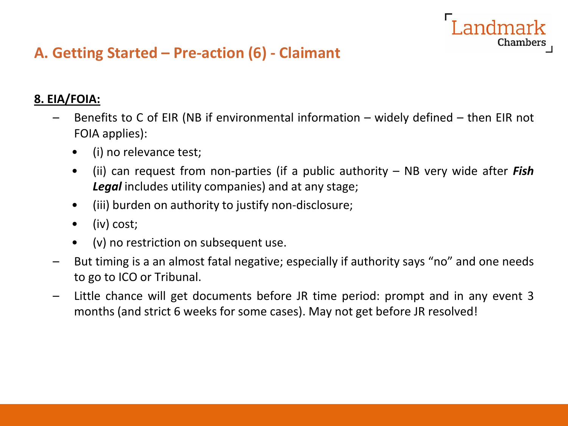## **A. Getting Started – Pre-action (6) - Claimant**

#### **8. EIA/FOIA:**

Benefits to C of EIR (NB if environmental information – widely defined – then EIR not FOIA applies):

- (i) no relevance test;
- (ii) can request from non-parties (if a public authority NB very wide after *Fish Legal* includes utility companies) and at any stage;
- (iii) burden on authority to justify non-disclosure;
- (iv) cost;
- (v) no restriction on subsequent use.
- But timing is a an almost fatal negative; especially if authority says "no" and one needs to go to ICO or Tribunal.
- Little chance will get documents before JR time period: prompt and in any event 3 months (and strict 6 weeks for some cases). May not get before JR resolved!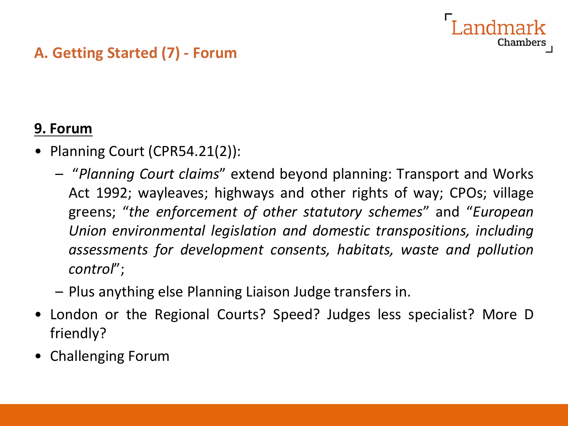## **A. Getting Started (7) - Forum**

## **9. Forum**

- Planning Court (CPR54.21(2)):
	- "*Planning Court claims*" extend beyond planning: Transport and Works Act 1992; wayleaves; highways and other rights of way; CPOs; village greens; "*the enforcement of other statutory schemes*" and "*European Union environmental legislation and domestic transpositions, including assessments for development consents, habitats, waste and pollution control*";

Chambe:

- Plus anything else Planning Liaison Judge transfers in.
- London or the Regional Courts? Speed? Judges less specialist? More D friendly?
- Challenging Forum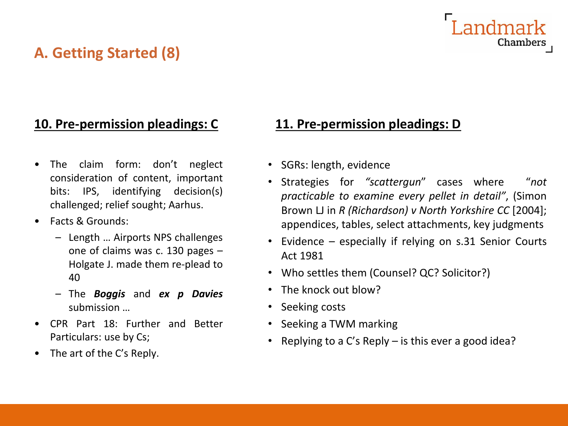## **A. Getting Started (8)**

# Chamber:

## **10. Pre-permission pleadings: C**

- The claim form: don't neglect consideration of content, important bits: IPS, identifying decision(s) challenged; relief sought; Aarhus.
- Facts & Grounds:
	- Length … Airports NPS challenges one of claims was c. 130 pages – Holgate J. made them re-plead to 40
	- The *Boggis* and *ex p Davies* submission …
- CPR Part 18: Further and Better Particulars: use by Cs;
- The art of the C's Reply.

### **11. Pre-permission pleadings: D**

- SGRs: length, evidence
- Strategies for *"scattergun*" cases where "*not practicable to examine every pellet in detail"*, (Simon Brown LJ in *R (Richardson) v North Yorkshire CC* [2004]; appendices, tables, select attachments, key judgments
- Evidence especially if relying on s.31 Senior Courts Act 1981
- Who settles them (Counsel? QC? Solicitor?)
- The knock out blow?
- Seeking costs
- Seeking a TWM marking
- Replying to a C's Reply is this ever a good idea?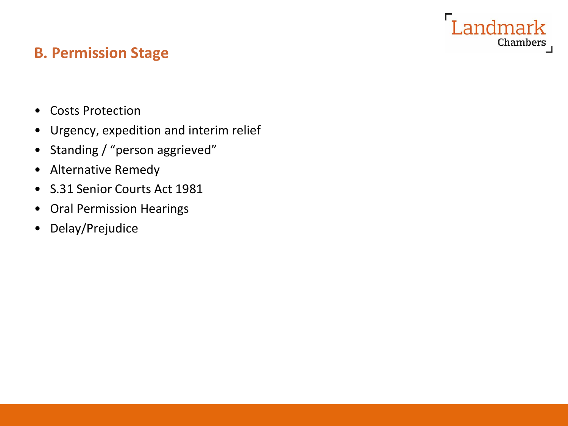## dmark Chambers

## **B. Permission Stage**

- Costs Protection
- Urgency, expedition and interim relief
- Standing / "person aggrieved"
- Alternative Remedy
- S.31 Senior Courts Act 1981
- Oral Permission Hearings
- Delay/Prejudice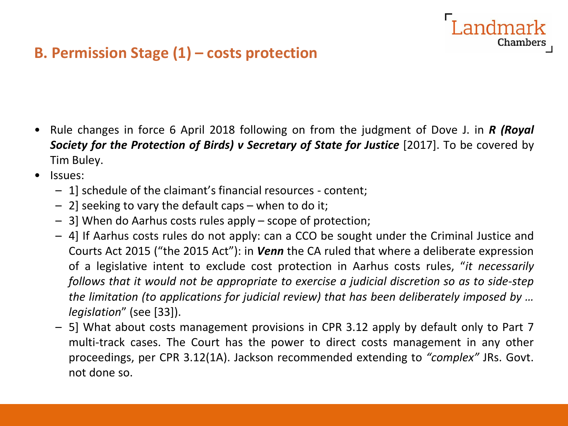## **B. Permission Stage (1) – costs protection**

• Rule changes in force 6 April 2018 following on from the judgment of Dove J. in *R (Royal Society for the Protection of Birds) v Secretary of State for Justice* [2017]. To be covered by Tim Buley.

- Issues:
	- 1] schedule of the claimant's financial resources content;
	- 2] seeking to vary the default caps when to do it;
	- 3] When do Aarhus costs rules apply scope of protection;
	- 4] If Aarhus costs rules do not apply: can a CCO be sought under the Criminal Justice and Courts Act 2015 ("the 2015 Act"): in *Venn* the CA ruled that where a deliberate expression of a legislative intent to exclude cost protection in Aarhus costs rules, "*it necessarily follows that it would not be appropriate to exercise a judicial discretion so as to side-step the limitation (to applications for judicial review) that has been deliberately imposed by … legislation*" (see [33]).
	- 5] What about costs management provisions in CPR 3.12 apply by default only to Part 7 multi-track cases. The Court has the power to direct costs management in any other proceedings, per CPR 3.12(1A). Jackson recommended extending to *"complex"* JRs. Govt. not done so.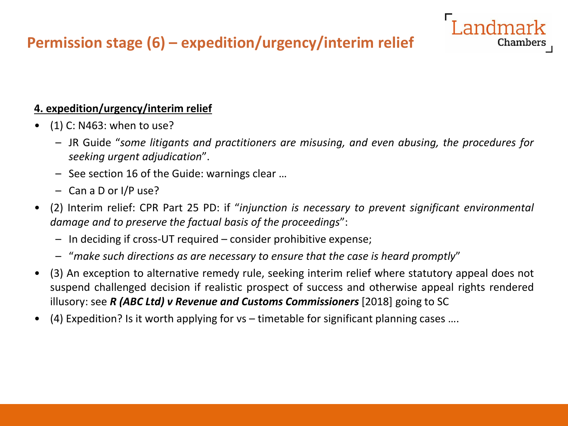## **Permission stage (6) – expedition/urgency/interim relief**

#### **4. expedition/urgency/interim relief**

- $\bullet$  (1) C: N463: when to use?
	- JR Guide "*some litigants and practitioners are misusing, and even abusing, the procedures for seeking urgent adjudication*".

Chambei

- See section 16 of the Guide: warnings clear …
- Can a D or I/P use?
- (2) Interim relief: CPR Part 25 PD: if "*injunction is necessary to prevent significant environmental damage and to preserve the factual basis of the proceedings*":
	- In deciding if cross-UT required consider prohibitive expense;
	- "*make such directions as are necessary to ensure that the case is heard promptly*"
- (3) An exception to alternative remedy rule, seeking interim relief where statutory appeal does not suspend challenged decision if realistic prospect of success and otherwise appeal rights rendered illusory: see *R (ABC Ltd) v Revenue and Customs Commissioners* [2018] going to SC
- (4) Expedition? Is it worth applying for vs timetable for significant planning cases ….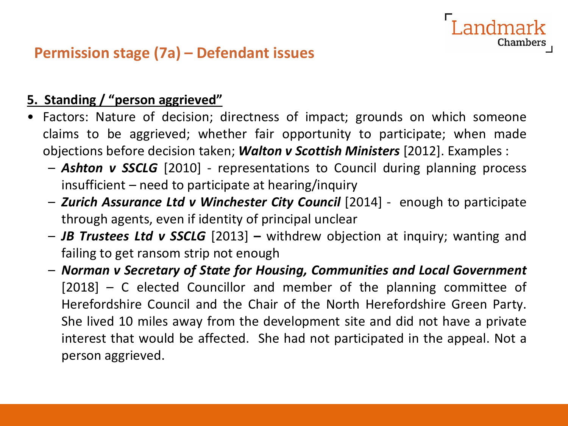# **Permission stage (7a) – Defendant issues**

#### **5. Standing / "person aggrieved"**

- Factors: Nature of decision; directness of impact; grounds on which someone claims to be aggrieved; whether fair opportunity to participate; when made objections before decision taken; *Walton v Scottish Ministers* [2012]. Examples :
	- *Ashton v SSCLG* [2010] representations to Council during planning process insufficient – need to participate at hearing/inquiry

ndmark

Chamber:

- *Zurich Assurance Ltd v Winchester City Council* [2014] enough to participate through agents, even if identity of principal unclear
- *JB Trustees Ltd v SSCLG* [2013] **–** withdrew objection at inquiry; wanting and failing to get ransom strip not enough
- *Norman v Secretary of State for Housing, Communities and Local Government* [2018] – C elected Councillor and member of the planning committee of Herefordshire Council and the Chair of the North Herefordshire Green Party. She lived 10 miles away from the development site and did not have a private interest that would be affected. She had not participated in the appeal. Not a person aggrieved.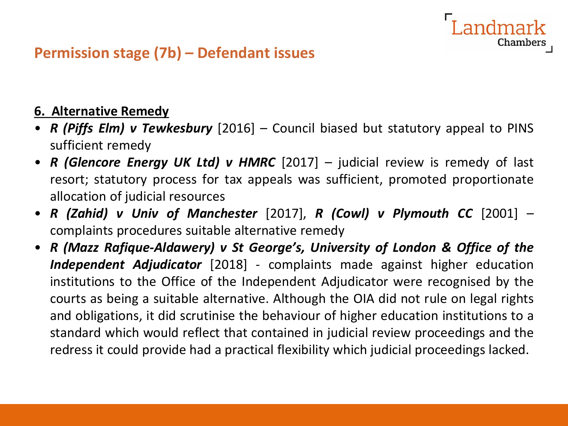## **Permission stage (7b) – Defendant issues**

#### **6. Alternative Remedy**

• *R (Piffs Elm) v Tewkesbury* [2016] – Council biased but statutory appeal to PINS sufficient remedy

- *R (Glencore Energy UK Ltd) v HMRC* [2017] judicial review is remedy of last resort; statutory process for tax appeals was sufficient, promoted proportionate allocation of judicial resources
- *R (Zahid) v Univ of Manchester* [2017], *R (Cowl) v Plymouth CC* [2001] complaints procedures suitable alternative remedy
- *R (Mazz Rafique-Aldawery) v St George's, University of London & Office of the Independent Adjudicator* [2018] - complaints made against higher education institutions to the Office of the Independent Adjudicator were recognised by the courts as being a suitable alternative. Although the OIA did not rule on legal rights and obligations, it did scrutinise the behaviour of higher education institutions to a standard which would reflect that contained in judicial review proceedings and the redress it could provide had a practical flexibility which judicial proceedings lacked.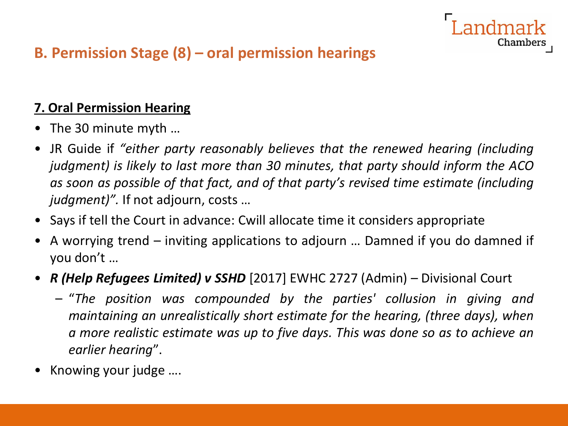# Chamber:

## **B. Permission Stage (8) – oral permission hearings**

## **7. Oral Permission Hearing**

- The 30 minute myth …
- JR Guide if *"either party reasonably believes that the renewed hearing (including judgment) is likely to last more than 30 minutes, that party should inform the ACO as soon as possible of that fact, and of that party's revised time estimate (including judgment)".* If not adjourn, costs …
- Says if tell the Court in advance: Cwill allocate time it considers appropriate
- A worrying trend inviting applications to adjourn … Damned if you do damned if you don't …
- *R (Help Refugees Limited) v SSHD* [2017] EWHC 2727 (Admin) Divisional Court
	- "*The position was compounded by the parties' collusion in giving and maintaining an unrealistically short estimate for the hearing, (three days), when a more realistic estimate was up to five days. This was done so as to achieve an earlier hearing*".
- Knowing your judge ….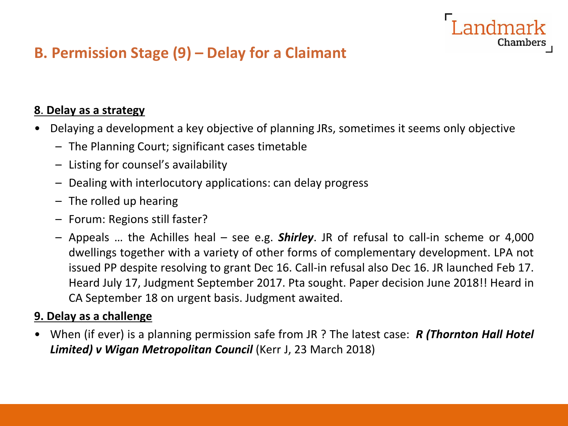## **B. Permission Stage (9) – Delay for a Claimant**

#### **8**. **Delay as a strategy**

• Delaying a development a key objective of planning JRs, sometimes it seems only objective

andmark

Chamber

- The Planning Court; significant cases timetable
- Listing for counsel's availability
- Dealing with interlocutory applications: can delay progress
- The rolled up hearing
- Forum: Regions still faster?
- Appeals … the Achilles heal see e.g. *Shirley*. JR of refusal to call-in scheme or 4,000 dwellings together with a variety of other forms of complementary development. LPA not issued PP despite resolving to grant Dec 16. Call-in refusal also Dec 16. JR launched Feb 17. Heard July 17, Judgment September 2017. Pta sought. Paper decision June 2018!! Heard in CA September 18 on urgent basis. Judgment awaited.

#### **9. Delay as a challenge**

• When (if ever) is a planning permission safe from JR ? The latest case: *R (Thornton Hall Hotel Limited) v Wigan Metropolitan Council* (Kerr J, 23 March 2018)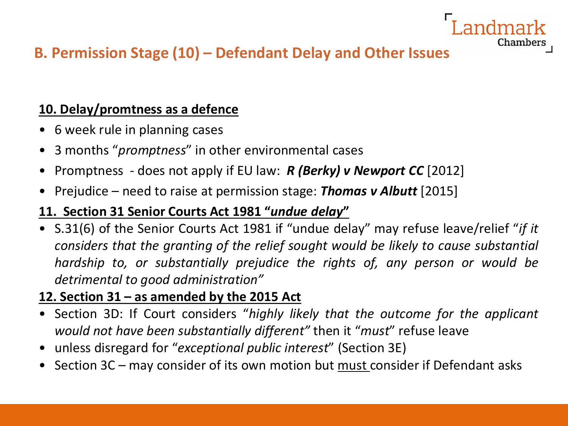## **B. Permission Stage (10) – Defendant Delay and Other Issues**

### **10. Delay/promtness as a defence**

- 6 week rule in planning cases
- 3 months "*promptness*" in other environmental cases
- Promptness does not apply if EU law: *R (Berky) v Newport CC* [2012]
- Prejudice need to raise at permission stage: *Thomas v Albutt* [2015]

### **11. Section 31 Senior Courts Act 1981 "***undue delay***"**

• S.31(6) of the Senior Courts Act 1981 if "undue delay" may refuse leave/relief "*if it considers that the granting of the relief sought would be likely to cause substantial hardship to, or substantially prejudice the rights of, any person or would be detrimental to good administration"*

Chamber

### **12. Section 31 – as amended by the 2015 Act**

- Section 3D: If Court considers "*highly likely that the outcome for the applicant would not have been substantially different"* then it "*must*" refuse leave
- unless disregard for "*exceptional public interest*" (Section 3E)
- Section 3C may consider of its own motion but must consider if Defendant asks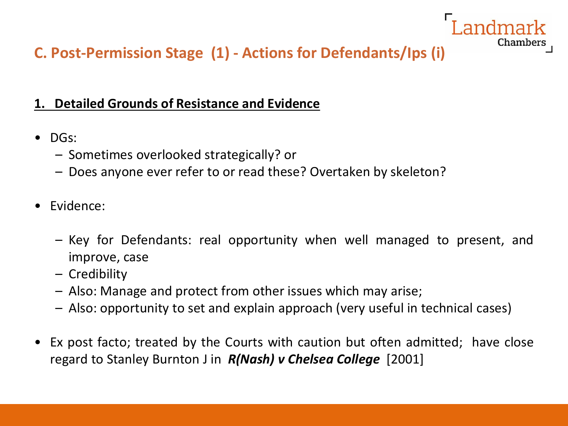## **C. Post-Permission Stage (1) - Actions for Defendants/Ips (i)**

### **1. Detailed Grounds of Resistance and Evidence**

- DGs:
	- Sometimes overlooked strategically? or
	- Does anyone ever refer to or read these? Overtaken by skeleton?
- Evidence:
	- Key for Defendants: real opportunity when well managed to present, and improve, case

- Credibility
- Also: Manage and protect from other issues which may arise;
- Also: opportunity to set and explain approach (very useful in technical cases)
- Ex post facto; treated by the Courts with caution but often admitted; have close regard to Stanley Burnton J in *R(Nash) v Chelsea College* [2001]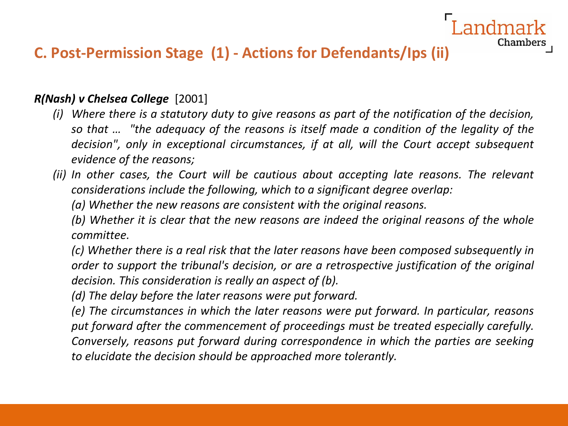## **C. Post-Permission Stage (1) - Actions for Defendants/Ips (ii)**

*R(Nash) v Chelsea College* [2001]

*(i) Where there is a statutory duty to give reasons as part of the notification of the decision, so that … "the adequacy of the reasons is itself made a condition of the legality of the decision", only in exceptional circumstances, if at all, will the Court accept subsequent evidence of the reasons;*

Chamber

*(ii) In other cases, the Court will be cautious about accepting late reasons. The relevant considerations include the following, which to a significant degree overlap:*

*(a) Whether the new reasons are consistent with the original reasons.*

*(b) Whether it is clear that the new reasons are indeed the original reasons of the whole committee.*

*(c) Whether there is a real risk that the later reasons have been composed subsequently in order to support the tribunal's decision, or are a retrospective justification of the original decision. This consideration is really an aspect of (b).*

*(d) The delay before the later reasons were put forward.*

*(e) The circumstances in which the later reasons were put forward. In particular, reasons put forward after the commencement of proceedings must be treated especially carefully. Conversely, reasons put forward during correspondence in which the parties are seeking to elucidate the decision should be approached more tolerantly.*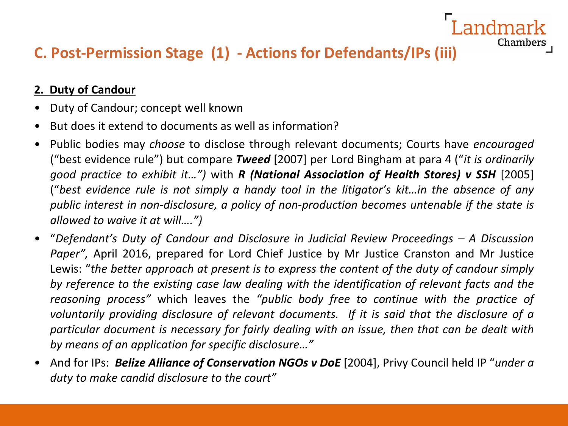## **C. Post-Permission Stage (1) - Actions for Defendants/IPs (iii)**

#### **2. Duty of Candour**

- Duty of Candour; concept well known
- But does it extend to documents as well as information?
- Public bodies may *choose* to disclose through relevant documents; Courts have *encouraged* ("best evidence rule") but compare *Tweed* [2007] per Lord Bingham at para 4 ("*it is ordinarily good practice to exhibit it…")* with *R (National Association of Health Stores) v SSH* [2005] ("best evidence rule is not simply a handy tool in the litigator's kit...in the absence of any *public interest in non-disclosure, a policy of non-production becomes untenable if the state is allowed to waive it at will….")*

- "*Defendant's Duty of Candour and Disclosure in Judicial Review Proceedings – A Discussion Paper",* April 2016, prepared for Lord Chief Justice by Mr Justice Cranston and Mr Justice Lewis: "*the better approach at present is to express the content of the duty of candour simply by reference to the existing case law dealing with the identification of relevant facts and the reasoning process"* which leaves the *"public body free to continue with the practice of voluntarily providing disclosure of relevant documents. If it is said that the disclosure of a particular document is necessary for fairly dealing with an issue, then that can be dealt with by means of an application for specific disclosure…"*
- And for IPs: *Belize Alliance of Conservation NGOs v DoE* [2004], Privy Council held IP "*under a duty to make candid disclosure to the court"*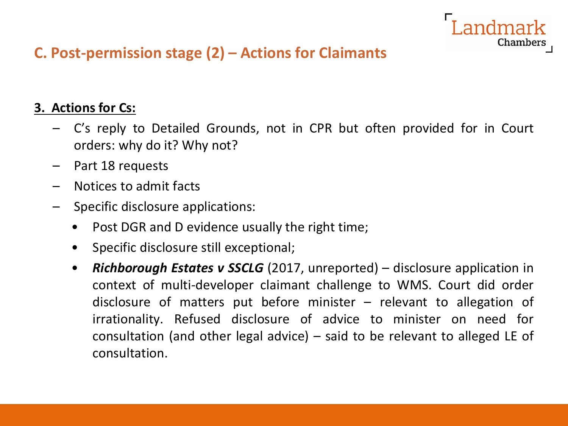# ndmark

Chambers

## **C. Post-permission stage (2) – Actions for Claimants**

### **3. Actions for Cs:**

- C's reply to Detailed Grounds, not in CPR but often provided for in Court orders: why do it? Why not?
- Part 18 requests
- Notices to admit facts
- Specific disclosure applications:
	- Post DGR and D evidence usually the right time;
	- Specific disclosure still exceptional;
	- *Richborough Estates v SSCLG* (2017, unreported) disclosure application in context of multi-developer claimant challenge to WMS. Court did order disclosure of matters put before minister – relevant to allegation of irrationality. Refused disclosure of advice to minister on need for consultation (and other legal advice) – said to be relevant to alleged LE of consultation.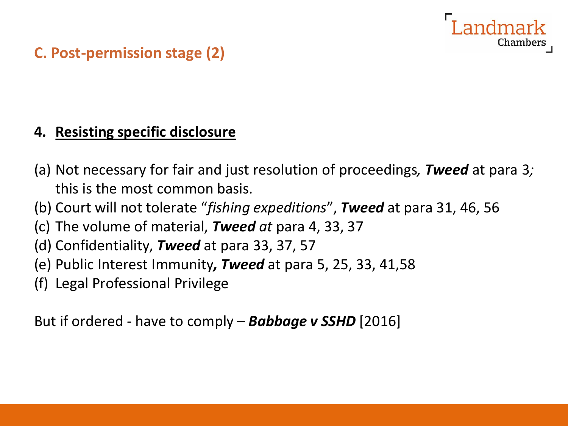# Chamber

## **C. Post-permission stage (2)**

## **4. Resisting specific disclosure**

- (a) Not necessary for fair and just resolution of proceedings*, Tweed* at para 3*;* this is the most common basis.
- (b) Court will not tolerate "*fishing expeditions*", *Tweed* at para 31, 46, 56
- (c) The volume of material, *Tweed at* para 4, 33, 37
- (d) Confidentiality, *Tweed* at para 33, 37, 57
- (e) Public Interest Immunity*, Tweed* at para 5, 25, 33, 41,58
- (f) Legal Professional Privilege

But if ordered - have to comply – *Babbage v SSHD* [2016]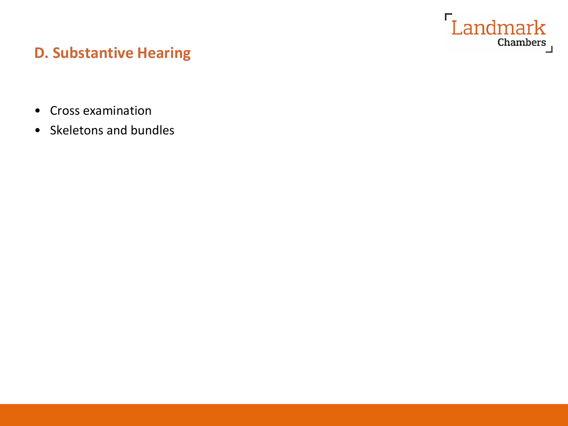

## **D. Substantive Hearing**

- Cross examination
- Skeletons and bundles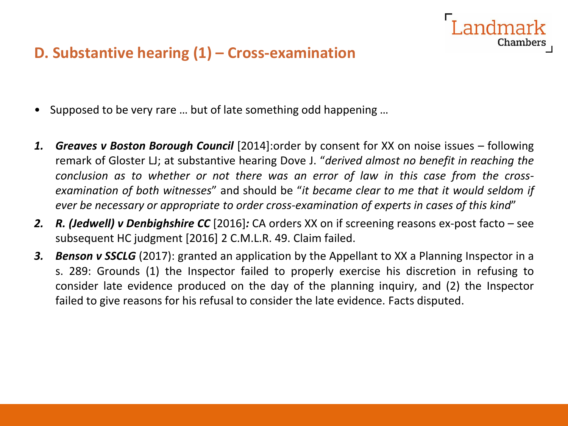## **D. Substantive hearing (1) – Cross-examination**

- Supposed to be very rare … but of late something odd happening …
- *1. Greaves v Boston Borough Council* [2014]:order by consent for XX on noise issues following remark of Gloster LJ; at substantive hearing Dove J. "*derived almost no benefit in reaching the conclusion as to whether or not there was an error of law in this case from the crossexamination of both witnesses*" and should be "*it became clear to me that it would seldom if ever be necessary or appropriate to order cross-examination of experts in cases of this kind*"

andmark

- *2. R. (Jedwell) v Denbighshire CC* [2016]*:* CA orders XX on if screening reasons ex-post facto see subsequent HC judgment [2016] 2 C.M.L.R. 49. Claim failed.
- *3. Benson v SSCLG* (2017): granted an application by the Appellant to XX a Planning Inspector in a s. 289: Grounds (1) the Inspector failed to properly exercise his discretion in refusing to consider late evidence produced on the day of the planning inquiry, and (2) the Inspector failed to give reasons for his refusal to consider the late evidence. Facts disputed.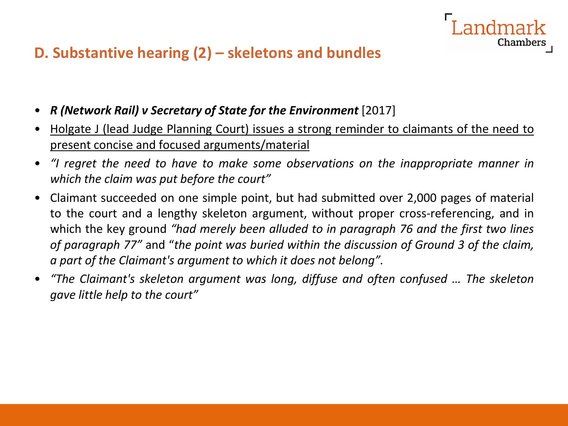## **D. Substantive hearing (2) – skeletons and bundles**

- *R (Network Rail) v Secretary of State for the Environment* [2017]
- Holgate J (lead Judge Planning Court) issues a strong reminder to claimants of the need to present concise and focused arguments/material

ndmark

- *"I regret the need to have to make some observations on the inappropriate manner in which the claim was put before the court"*
- Claimant succeeded on one simple point, but had submitted over 2,000 pages of material to the court and a lengthy skeleton argument, without proper cross-referencing, and in which the key ground *"had merely been alluded to in paragraph 76 and the first two lines of paragraph 77"* and "*the point was buried within the discussion of Ground 3 of the claim, a part of the Claimant's argument to which it does not belong".*
- *"The Claimant's skeleton argument was long, diffuse and often confused … The skeleton gave little help to the court"*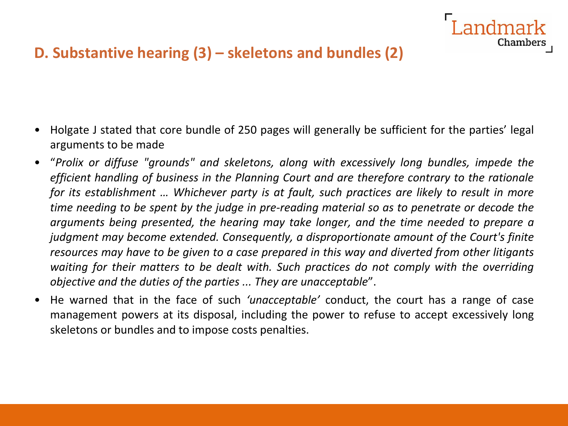## **D. Substantive hearing (3) – skeletons and bundles (2)**

• Holgate J stated that core bundle of 250 pages will generally be sufficient for the parties' legal arguments to be made

andmark

Chamber:

- "*Prolix or diffuse "grounds" and skeletons, along with excessively long bundles, impede the efficient handling of business in the Planning Court and are therefore contrary to the rationale for its establishment … Whichever party is at fault, such practices are likely to result in more time needing to be spent by the judge in pre-reading material so as to penetrate or decode the arguments being presented, the hearing may take longer, and the time needed to prepare a judgment may become extended. Consequently, a disproportionate amount of the Court's finite resources may have to be given to a case prepared in this way and diverted from other litigants waiting for their matters to be dealt with. Such practices do not comply with the overriding objective and the duties of the parties ... They are unacceptable*".
- He warned that in the face of such *'unacceptable'* conduct, the court has a range of case management powers at its disposal, including the power to refuse to accept excessively long skeletons or bundles and to impose costs penalties.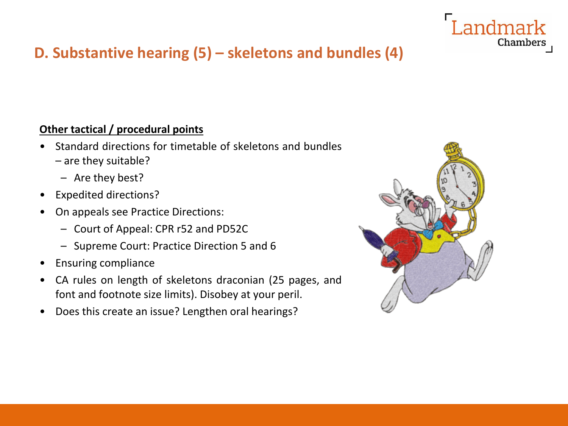

## **D. Substantive hearing (5) – skeletons and bundles (4)**

#### **Other tactical / procedural points**

- Standard directions for timetable of skeletons and bundles – are they suitable?
	- Are they best?
- Expedited directions?
- On appeals see Practice Directions:
	- Court of Appeal: CPR r52 and PD52C
	- Supreme Court: Practice Direction 5 and 6
- Ensuring compliance
- CA rules on length of skeletons draconian (25 pages, and font and footnote size limits). Disobey at your peril.
- Does this create an issue? Lengthen oral hearings?

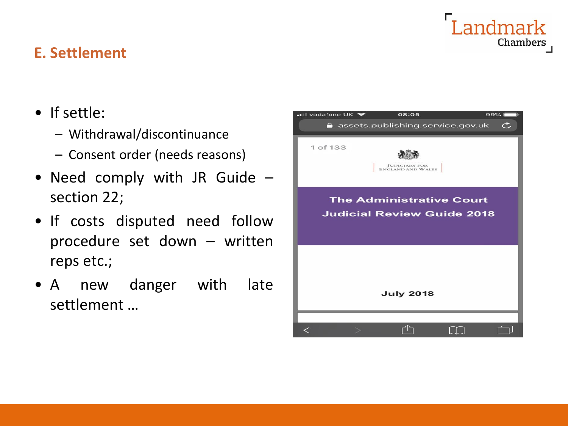# andmark Chambers

## **E. Settlement**

- If settle:
	- Withdrawal/discontinuance
	- Consent order (needs reasons)
- Need comply with JR Guide section 22;
- If costs disputed need follow procedure set down – written reps etc.;
- A new danger with late settlement …